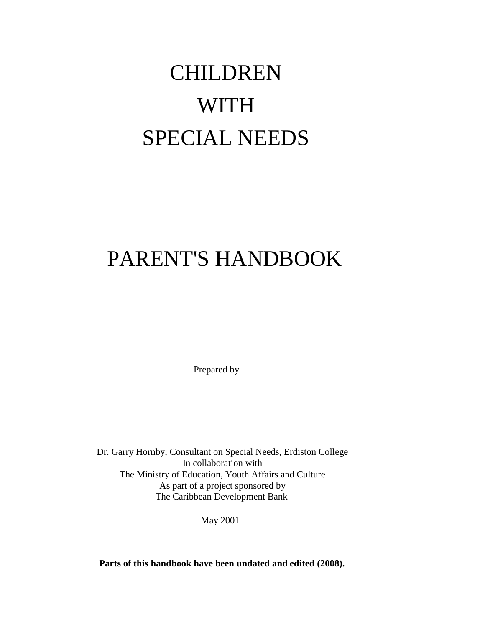# CHILDREN WITH SPECIAL NEEDS

## PARENT'S HANDBOOK

Prepared by

Dr. Garry Hornby, Consultant on Special Needs, Erdiston College In collaboration with The Ministry of Education, Youth Affairs and Culture As part of a project sponsored by The Caribbean Development Bank

May 2001

**Parts of this handbook have been undated and edited (2008).**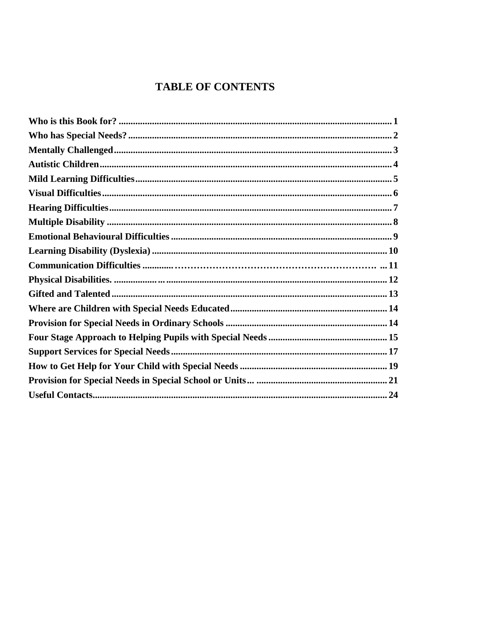## **TABLE OF CONTENTS**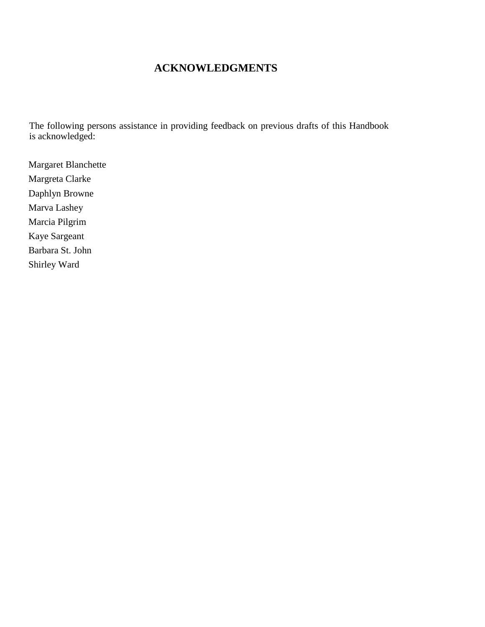## **ACKNOWLEDGMENTS**

The following persons assistance in providing feedback on previous drafts of this Handbook is acknowledged:

Margaret Blanchette Margreta Clarke Daphlyn Browne Marva Lashey Marcia Pilgrim Kaye Sargeant Barbara St. John Shirley Ward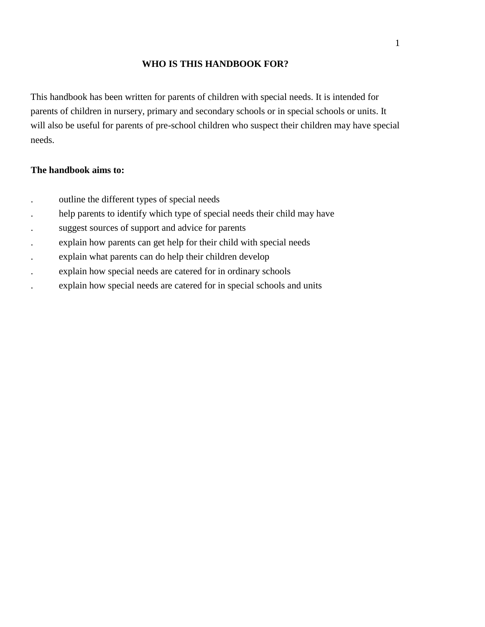## **WHO IS THIS HANDBOOK FOR?**

This handbook has been written for parents of children with special needs. It is intended for parents of children in nursery, primary and secondary schools or in special schools or units. It will also be useful for parents of pre-school children who suspect their children may have special needs.

#### **The handbook aims to:**

- . outline the different types of special needs
- help parents to identify which type of special needs their child may have
- . suggest sources of support and advice for parents
- . explain how parents can get help for their child with special needs
- . explain what parents can do help their children develop
- . explain how special needs are catered for in ordinary schools
- . explain how special needs are catered for in special schools and units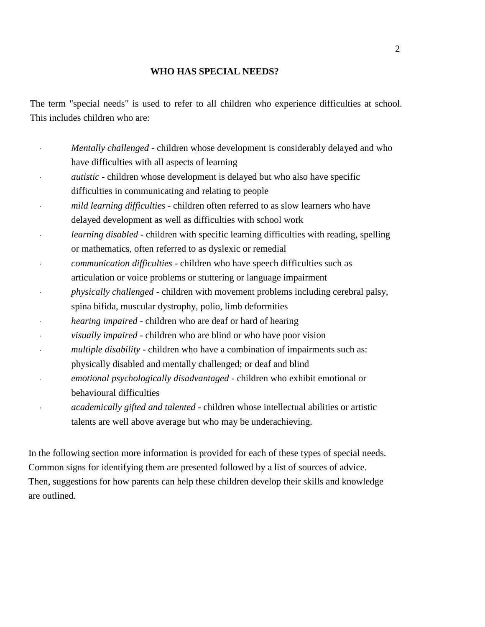#### **WHO HAS SPECIAL NEEDS?**

The term "special needs" is used to refer to all children who experience difficulties at school. This includes children who are:

- · *Mentally challenged* children whose development is considerably delayed and who have difficulties with all aspects of learning
- *autistic* children whose development is delayed but who also have specific difficulties in communicating and relating to people
- · *mild learning difficulties*  children often referred to as slow learners who have delayed development as well as difficulties with school work
- *learning disabled* children with specific learning difficulties with reading, spelling or mathematics, often referred to as dyslexic or remedial
- · *communication difficulties*  children who have speech difficulties such as
- articulation or voice problems or stuttering or language impairment
- · *physically challenged*  children with movement problems including cerebral palsy, spina bifida, muscular dystrophy, polio, limb deformities
- *hearing impaired* children who are deaf or hard of hearing
- · *visually impaired*  children who are blind or who have poor vision
- multiple disability children who have a combination of impairments such as:
- physically disabled and mentally challenged; or deaf and blind
- · *emotional psychologically disadvantaged*  children who exhibit emotional or behavioural difficulties
- · *academically gifted and talented*  children whose intellectual abilities or artistic talents are well above average but who may be underachieving.

In the following section more information is provided for each of these types of special needs. Common signs for identifying them are presented followed by a list of sources of advice. Then, suggestions for how parents can help these children develop their skills and knowledge are outlined.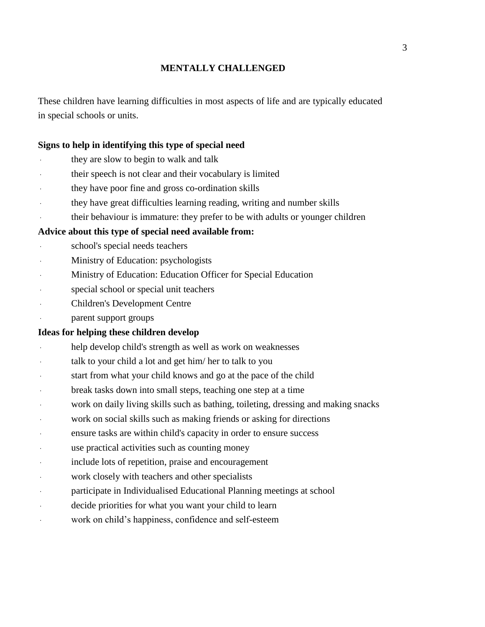## **MENTALLY CHALLENGED**

These children have learning difficulties in most aspects of life and are typically educated in special schools or units.

## **Signs to help in identifying this type of special need**

- they are slow to begin to walk and talk
- their speech is not clear and their vocabulary is limited
- they have poor fine and gross co-ordination skills
- · they have great difficulties learning reading, writing and number skills
- their behaviour is immature: they prefer to be with adults or younger children

## **Advice about this type of special need available from:**

- school's special needs teachers
- Ministry of Education: psychologists
- Ministry of Education: Education Officer for Special Education
- special school or special unit teachers
- Children's Development Centre
- parent support groups

- help develop child's strength as well as work on weaknesses
- talk to your child a lot and get him/ her to talk to you
- start from what your child knows and go at the pace of the child
- break tasks down into small steps, teaching one step at a time
- work on daily living skills such as bathing, toileting, dressing and making snacks
- work on social skills such as making friends or asking for directions
- ensure tasks are within child's capacity in order to ensure success
- use practical activities such as counting money
- include lots of repetition, praise and encouragement
- work closely with teachers and other specialists
- participate in Individualised Educational Planning meetings at school
- decide priorities for what you want your child to learn
- work on child's happiness, confidence and self-esteem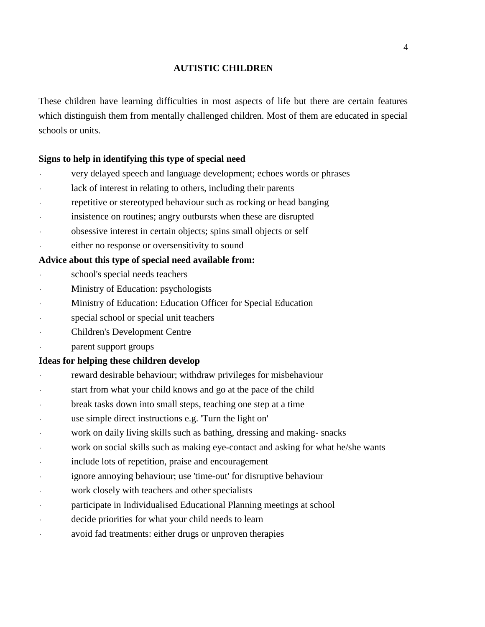## **AUTISTIC CHILDREN**

These children have learning difficulties in most aspects of life but there are certain features which distinguish them from mentally challenged children. Most of them are educated in special schools or units.

## **Signs to help in identifying this type of special need**

- very delayed speech and language development; echoes words or phrases
- lack of interest in relating to others, including their parents
- repetitive or stereotyped behaviour such as rocking or head banging
- insistence on routines; angry outbursts when these are disrupted
- obsessive interest in certain objects; spins small objects or self
- either no response or oversensitivity to sound

## **Advice about this type of special need available from:**

- school's special needs teachers
- Ministry of Education: psychologists
- Ministry of Education: Education Officer for Special Education
- special school or special unit teachers
- Children's Development Centre
- parent support groups

- reward desirable behaviour; withdraw privileges for misbehaviour
- start from what your child knows and go at the pace of the child
- break tasks down into small steps, teaching one step at a time
- use simple direct instructions e.g. Turn the light on'
- work on daily living skills such as bathing, dressing and making- snacks
- work on social skills such as making eye-contact and asking for what he/she wants
- include lots of repetition, praise and encouragement
- ignore annoying behaviour; use 'time-out' for disruptive behaviour
- work closely with teachers and other specialists
- participate in Individualised Educational Planning meetings at school
- decide priorities for what your child needs to learn
- avoid fad treatments: either drugs or unproven therapies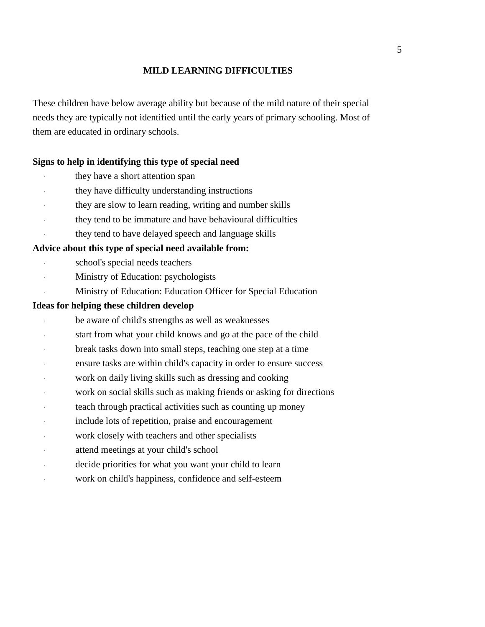## **MILD LEARNING DIFFICULTIES**

These children have below average ability but because of the mild nature of their special needs they are typically not identified until the early years of primary schooling. Most of them are educated in ordinary schools.

#### **Signs to help in identifying this type of special need**

- they have a short attention span
- they have difficulty understanding instructions
- they are slow to learn reading, writing and number skills
- · they tend to be immature and have behavioural difficulties
- they tend to have delayed speech and language skills

#### **Advice about this type of special need available from:**

- school's special needs teachers
- Ministry of Education: psychologists
- Ministry of Education: Education Officer for Special Education

- be aware of child's strengths as well as weaknesses
- start from what your child knows and go at the pace of the child
- break tasks down into small steps, teaching one step at a time
- ensure tasks are within child's capacity in order to ensure success
- work on daily living skills such as dressing and cooking
- work on social skills such as making friends or asking for directions
- teach through practical activities such as counting up money
- include lots of repetition, praise and encouragement
- work closely with teachers and other specialists
- attend meetings at your child's school
- decide priorities for what you want your child to learn
- work on child's happiness, confidence and self-esteem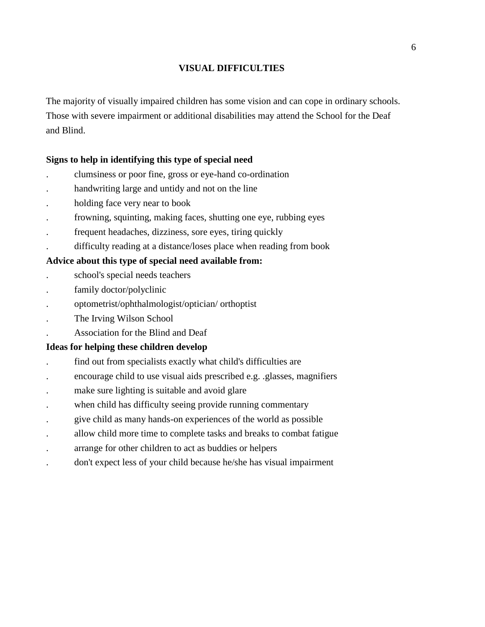## **VISUAL DIFFICULTIES**

The majority of visually impaired children has some vision and can cope in ordinary schools. Those with severe impairment or additional disabilities may attend the School for the Deaf and Blind.

## **Signs to help in identifying this type of special need**

- . clumsiness or poor fine, gross or eye-hand co-ordination
- . handwriting large and untidy and not on the line
- . holding face very near to book
- . frowning, squinting, making faces, shutting one eye, rubbing eyes
- . frequent headaches, dizziness, sore eyes, tiring quickly
- . difficulty reading at a distance/loses place when reading from book

## **Advice about this type of special need available from:**

- . school's special needs teachers
- family doctor/polyclinic
- . optometrist/ophthalmologist/optician/ orthoptist
- . The Irving Wilson School
- . Association for the Blind and Deaf

- . find out from specialists exactly what child's difficulties are
- . encourage child to use visual aids prescribed e.g. .glasses, magnifiers
- make sure lighting is suitable and avoid glare
- when child has difficulty seeing provide running commentary
- . give child as many hands-on experiences of the world as possible
- . allow child more time to complete tasks and breaks to combat fatigue
- . arrange for other children to act as buddies or helpers
- . don't expect less of your child because he/she has visual impairment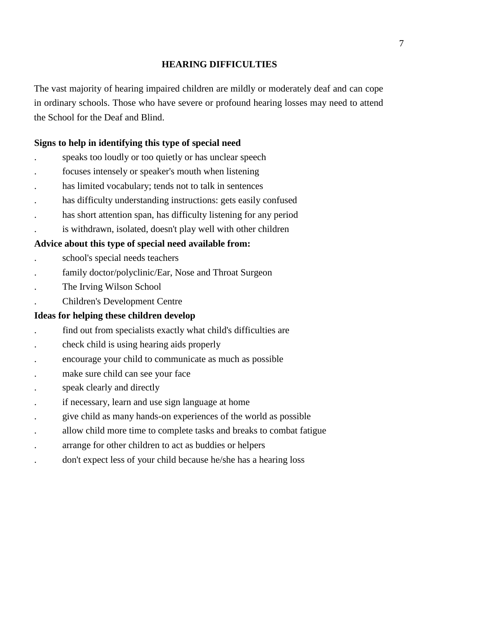## **HEARING DIFFICULTIES**

The vast majority of hearing impaired children are mildly or moderately deaf and can cope in ordinary schools. Those who have severe or profound hearing losses may need to attend the School for the Deaf and Blind.

## **Signs to help in identifying this type of special need**

- . speaks too loudly or too quietly or has unclear speech
- . focuses intensely or speaker's mouth when listening
- has limited vocabulary; tends not to talk in sentences
- . has difficulty understanding instructions: gets easily confused
- has short attention span, has difficulty listening for any period
- . is withdrawn, isolated, doesn't play well with other children

## **Advice about this type of special need available from:**

- . school's special needs teachers
- family doctor/polyclinic/Ear, Nose and Throat Surgeon
- . The Irving Wilson School
- . Children's Development Centre

- . find out from specialists exactly what child's difficulties are
- . check child is using hearing aids properly
- . encourage your child to communicate as much as possible
- make sure child can see your face
- . speak clearly and directly
- . if necessary, learn and use sign language at home
- . give child as many hands-on experiences of the world as possible
- . allow child more time to complete tasks and breaks to combat fatigue
- . arrange for other children to act as buddies or helpers
- . don't expect less of your child because he/she has a hearing loss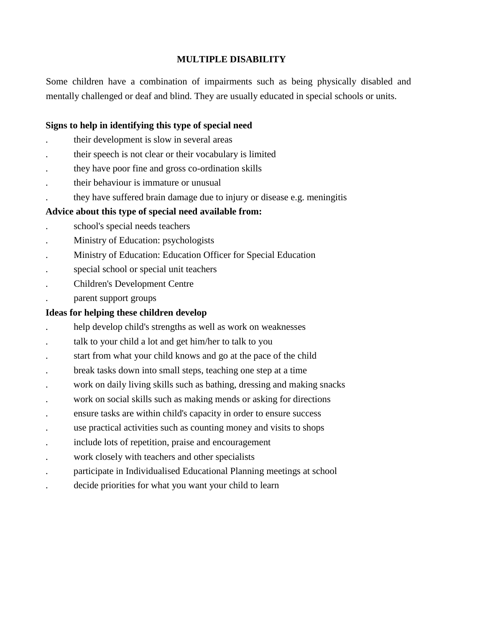## **MULTIPLE DISABILITY**

Some children have a combination of impairments such as being physically disabled and mentally challenged or deaf and blind. They are usually educated in special schools or units.

## **Signs to help in identifying this type of special need**

- . their development is slow in several areas
- . their speech is not clear or their vocabulary is limited
- . they have poor fine and gross co-ordination skills
- . their behaviour is immature or unusual
- . they have suffered brain damage due to injury or disease e.g. meningitis

## **Advice about this type of special need available from:**

- . school's special needs teachers
- . Ministry of Education: psychologists
- . Ministry of Education: Education Officer for Special Education
- . special school or special unit teachers
- . Children's Development Centre
- . parent support groups

- . help develop child's strengths as well as work on weaknesses
- . talk to your child a lot and get him/her to talk to you
- . start from what your child knows and go at the pace of the child
- . break tasks down into small steps, teaching one step at a time
- . work on daily living skills such as bathing, dressing and making snacks
- . work on social skills such as making mends or asking for directions
- . ensure tasks are within child's capacity in order to ensure success
- . use practical activities such as counting money and visits to shops
- . include lots of repetition, praise and encouragement
- work closely with teachers and other specialists
- . participate in Individualised Educational Planning meetings at school
- . decide priorities for what you want your child to learn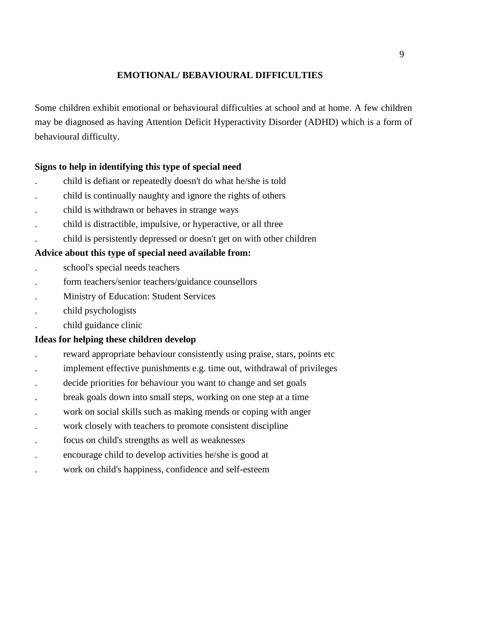## **EMOTIONAL/ BEBAVIOURAL DIFFICULTIES**

Some children exhibit emotional or behavioural difficulties at school and at home. A few children may be diagnosed as having Attention Deficit Hyperactivity Disorder (ADHD) which is a form of behavioural difficulty.

## **Signs to help in identifying this type of special need**

- . child is defiant or repeatedly doesn't do what he/she is told
- . child is continually naughty and ignore the rights of others
- . child is withdrawn or behaves in strange ways
- . child is distractible, impulsive, or hyperactive, or all three
- . child is persistently depressed or doesn't get on with other children

## **Advice about this type of special need available from:**

- . school's special needs teachers
- . form teachers/senior teachers/guidance counsellors
- . Ministry of Education: Student Services
- . child psychologists
- . child guidance clinic

- reward appropriate behaviour consistently using praise, stars, points etc.
- . implement effective punishments e.g. time out, withdrawal of privileges
- . decide priorities for behaviour you want to change and set goals
- . break goals down into small steps, working on one step at a time
- . work on social skills such as making mends or coping with anger
- . work closely with teachers to promote consistent discipline
- . focus on child's strengths as well as weaknesses
- . encourage child to develop activities he/she is good at
- . work on child's happiness, confidence and self-esteem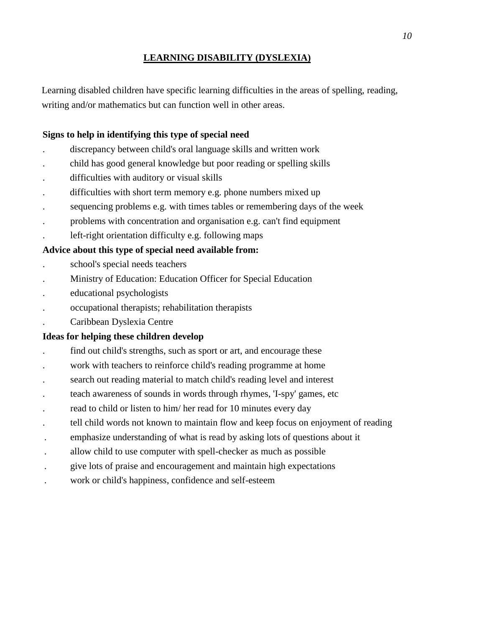## **LEARNING DISABILITY (DYSLEXIA)**

Learning disabled children have specific learning difficulties in the areas of spelling, reading, writing and/or mathematics but can function well in other areas.

## **Signs to help in identifying this type of special need**

- . discrepancy between child's oral language skills and written work
- . child has good general knowledge but poor reading or spelling skills
- . difficulties with auditory or visual skills
- . difficulties with short term memory e.g. phone numbers mixed up
- . sequencing problems e.g. with times tables or remembering days of the week
- . problems with concentration and organisation e.g. can't find equipment
- . left-right orientation difficulty e.g. following maps

## **Advice about this type of special need available from:**

- . school's special needs teachers
- . Ministry of Education: Education Officer for Special Education
- . educational psychologists
- . occupational therapists; rehabilitation therapists
- . Caribbean Dyslexia Centre

- . find out child's strengths, such as sport or art, and encourage these
- . work with teachers to reinforce child's reading programme at home
- . search out reading material to match child's reading level and interest
- . teach awareness of sounds in words through rhymes, 'I-spy' games, etc
- . read to child or listen to him/ her read for 10 minutes every day
- . tell child words not known to maintain flow and keep focus on enjoyment of reading
- . emphasize understanding of what is read by asking lots of questions about it
- . allow child to use computer with spell-checker as much as possible
- . give lots of praise and encouragement and maintain high expectations
- . work or child's happiness, confidence and self-esteem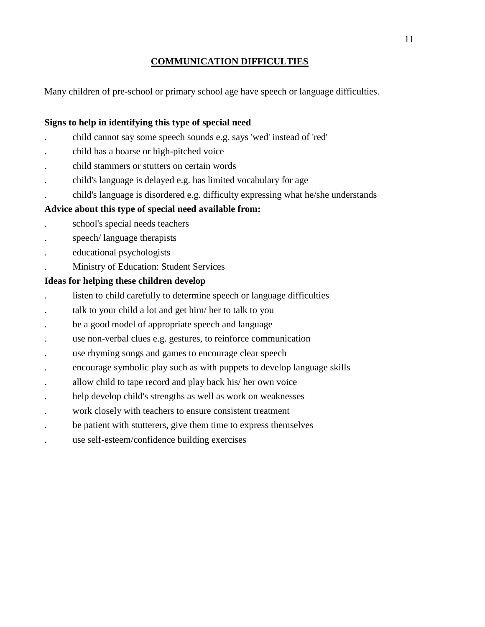## **COMMUNICATION DIFFICULTIES**

Many children of pre-school or primary school age have speech or language difficulties.

## **Signs to help in identifying this type of special need**

- . child cannot say some speech sounds e.g. says 'wed' instead of 'red'
- . child has a hoarse or high-pitched voice
- . child stammers or stutters on certain words
- . child's language is delayed e.g. has limited vocabulary for age
- . child's language is disordered e.g. difficulty expressing what he/she understands

## **Advice about this type of special need available from:**

- . school's special needs teachers
- . speech/ language therapists
- . educational psychologists
- . Ministry of Education: Student Services

- . listen to child carefully to determine speech or language difficulties
- . talk to your child a lot and get him/ her to talk to you
- be a good model of appropriate speech and language
- . use non-verbal clues e.g. gestures, to reinforce communication
- use rhyming songs and games to encourage clear speech
- . encourage symbolic play such as with puppets to develop language skills
- . allow child to tape record and play back his/ her own voice
- . help develop child's strengths as well as work on weaknesses
- . work closely with teachers to ensure consistent treatment
- . be patient with stutterers, give them time to express themselves
- . use self-esteem/confidence building exercises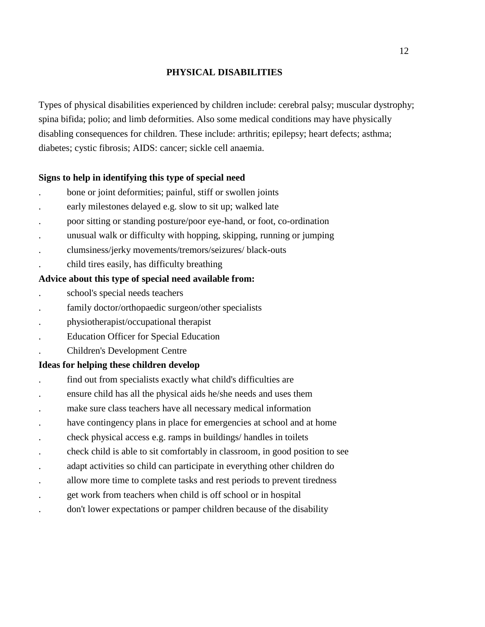## **PHYSICAL DISABILITIES**

Types of physical disabilities experienced by children include: cerebral palsy; muscular dystrophy; spina bifida; polio; and limb deformities. Also some medical conditions may have physically disabling consequences for children. These include: arthritis; epilepsy; heart defects; asthma; diabetes; cystic fibrosis; AIDS: cancer; sickle cell anaemia.

## **Signs to help in identifying this type of special need**

- . bone or joint deformities; painful, stiff or swollen joints
- . early milestones delayed e.g. slow to sit up; walked late
- . poor sitting or standing posture/poor eye-hand, or foot, co-ordination
- . unusual walk or difficulty with hopping, skipping, running or jumping
- . clumsiness/jerky movements/tremors/seizures/ black-outs
- . child tires easily, has difficulty breathing

## **Advice about this type of special need available from:**

- . school's special needs teachers
- . family doctor/orthopaedic surgeon/other specialists
- . physiotherapist/occupational therapist
- . Education Officer for Special Education
- . Children's Development Centre

- . find out from specialists exactly what child's difficulties are
- . ensure child has all the physical aids he/she needs and uses them
- . make sure class teachers have all necessary medical information
- have contingency plans in place for emergencies at school and at home
- . check physical access e.g. ramps in buildings/ handles in toilets
- . check child is able to sit comfortably in classroom, in good position to see
- . adapt activities so child can participate in everything other children do
- . allow more time to complete tasks and rest periods to prevent tiredness
- . get work from teachers when child is off school or in hospital
- . don't lower expectations or pamper children because of the disability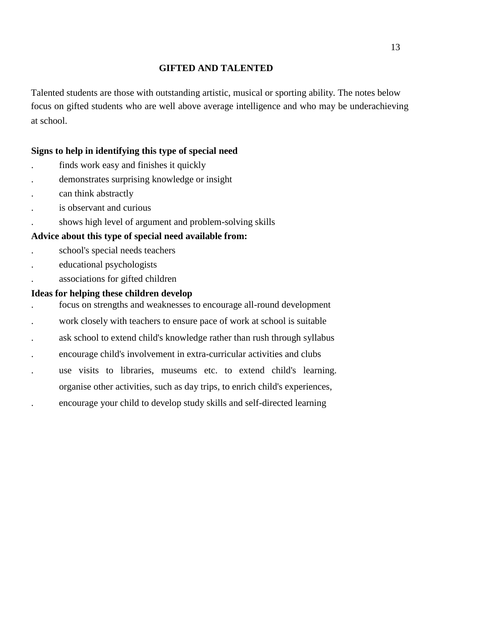## **GIFTED AND TALENTED**

Talented students are those with outstanding artistic, musical or sporting ability. The notes below focus on gifted students who are well above average intelligence and who may be underachieving at school.

## **Signs to help in identifying this type of special need**

- . finds work easy and finishes it quickly
- . demonstrates surprising knowledge or insight
- . can think abstractly
- . is observant and curious
- . shows high level of argument and problem-solving skills

## **Advice about this type of special need available from:**

- . school's special needs teachers
- . educational psychologists
- . associations for gifted children

- . focus on strengths and weaknesses to encourage all-round development
- . work closely with teachers to ensure pace of work at school is suitable
- . ask school to extend child's knowledge rather than rush through syllabus
- . encourage child's involvement in extra-curricular activities and clubs
- . use visits to libraries, museums etc. to extend child's learning.
- organise other activities, such as day trips, to enrich child's experiences,
- . encourage your child to develop study skills and self-directed learning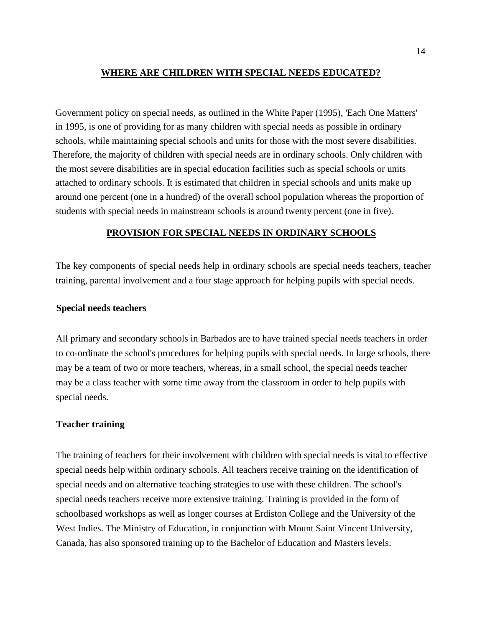## **WHERE ARE CHILDREN WITH SPECIAL NEEDS EDUCATED?**

Government policy on special needs, as outlined in the White Paper (1995), 'Each One Matters' in 1995, is one of providing for as many children with special needs as possible in ordinary schools, while maintaining special schools and units for those with the most severe disabilities. Therefore, the majority of children with special needs are in ordinary schools. Only children with the most severe disabilities are in special education facilities such as special schools or units attached to ordinary schools. It is estimated that children in special schools and units make up around one percent (one in a hundred) of the overall school population whereas the proportion of students with special needs in mainstream schools is around twenty percent (one in five).

## **PROVISION FOR SPECIAL NEEDS IN ORDINARY SCHOOLS**

The key components of special needs help in ordinary schools are special needs teachers, teacher training, parental involvement and a four stage approach for helping pupils with special needs.

#### **Special needs teachers**

All primary and secondary schools in Barbados are to have trained special needs teachers in order to co-ordinate the school's procedures for helping pupils with special needs. In large schools, there may be a team of two or more teachers, whereas, in a small school, the special needs teacher may be a class teacher with some time away from the classroom in order to help pupils with special needs.

#### **Teacher training**

The training of teachers for their involvement with children with special needs is vital to effective special needs help within ordinary schools. All teachers receive training on the identification of special needs and on alternative teaching strategies to use with these children. The school's special needs teachers receive more extensive training. Training is provided in the form of schoolbased workshops as well as longer courses at Erdiston College and the University of the West Indies. The Ministry of Education, in conjunction with Mount Saint Vincent University, Canada, has also sponsored training up to the Bachelor of Education and Masters levels.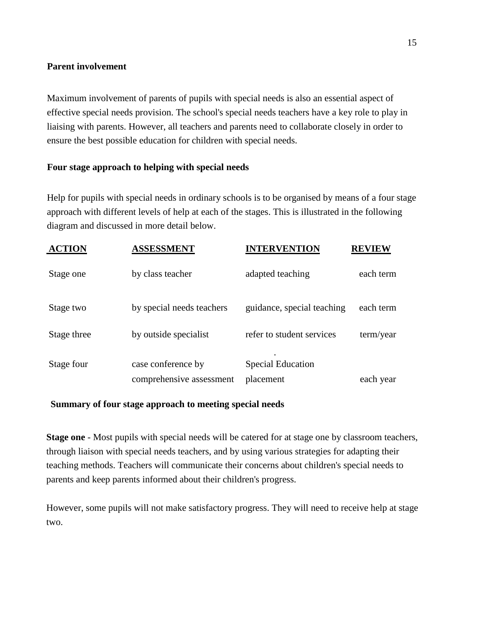## **Parent involvement**

Maximum involvement of parents of pupils with special needs is also an essential aspect of effective special needs provision. The school's special needs teachers have a key role to play in liaising with parents. However, all teachers and parents need to collaborate closely in order to ensure the best possible education for children with special needs.

## **Four stage approach to helping with special needs**

Help for pupils with special needs in ordinary schools is to be organised by means of a four stage approach with different levels of help at each of the stages. This is illustrated in the following diagram and discussed in more detail below.

| <b>ACTION</b> | <b>ASSESSMENT</b>         | <b>INTERVENTION</b>        | <b>REVIEW</b> |
|---------------|---------------------------|----------------------------|---------------|
| Stage one     | by class teacher          | adapted teaching           | each term     |
| Stage two     | by special needs teachers | guidance, special teaching | each term     |
| Stage three   | by outside specialist     | refer to student services  | term/year     |
| Stage four    | case conference by        | <b>Special Education</b>   |               |
|               | comprehensive assessment  | placement                  | each year     |

## **Summary of four stage approach to meeting special needs**

**Stage one** - Most pupils with special needs will be catered for at stage one by classroom teachers, through liaison with special needs teachers, and by using various strategies for adapting their teaching methods. Teachers will communicate their concerns about children's special needs to parents and keep parents informed about their children's progress.

However, some pupils will not make satisfactory progress. They will need to receive help at stage two.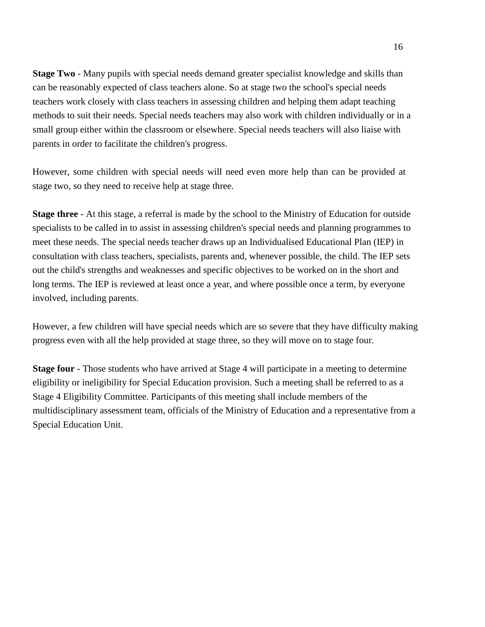**Stage Two** - Many pupils with special needs demand greater specialist knowledge and skills than can be reasonably expected of class teachers alone. So at stage two the school's special needs teachers work closely with class teachers in assessing children and helping them adapt teaching methods to suit their needs. Special needs teachers may also work with children individually or in a small group either within the classroom or elsewhere. Special needs teachers will also liaise with parents in order to facilitate the children's progress.

However, some children with special needs will need even more help than can be provided at stage two, so they need to receive help at stage three.

**Stage three** - At this stage, a referral is made by the school to the Ministry of Education for outside specialists to be called in to assist in assessing children's special needs and planning programmes to meet these needs. The special needs teacher draws up an Individualised Educational Plan (IEP) in consultation with class teachers, specialists, parents and, whenever possible, the child. The IEP sets out the child's strengths and weaknesses and specific objectives to be worked on in the short and long terms. The IEP is reviewed at least once a year, and where possible once a term, by everyone involved, including parents.

However, a few children will have special needs which are so severe that they have difficulty making progress even with all the help provided at stage three, so they will move on to stage four.

**Stage four** - Those students who have arrived at Stage 4 will participate in a meeting to determine eligibility or ineligibility for Special Education provision. Such a meeting shall be referred to as a Stage 4 Eligibility Committee. Participants of this meeting shall include members of the multidisciplinary assessment team, officials of the Ministry of Education and a representative from a Special Education Unit.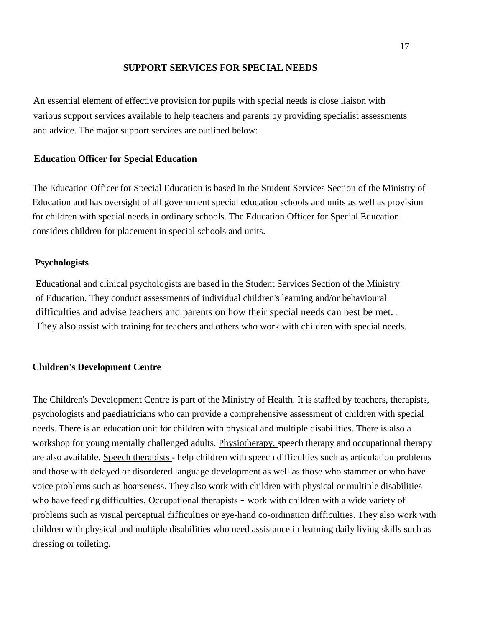#### **SUPPORT SERVICES FOR SPECIAL NEEDS**

An essential element of effective provision for pupils with special needs is close liaison with various support services available to help teachers and parents by providing specialist assessments and advice. The major support services are outlined below:

#### **Education Officer for Special Education**

The Education Officer for Special Education is based in the Student Services Section of the Ministry of Education and has oversight of all government special education schools and units as well as provision for children with special needs in ordinary schools. The Education Officer for Special Education considers children for placement in special schools and units.

#### **Psychologists**

Educational and clinical psychologists are based in the Student Services Section of the Ministry of Education. They conduct assessments of individual children's learning and/or behavioural difficulties and advise teachers and parents on how their special needs can best be met. . They also assist with training for teachers and others who work with children with special needs.

#### **Children's Development Centre**

The Children's Development Centre is part of the Ministry of Health. It is staffed by teachers, therapists, psychologists and paediatricians who can provide a comprehensive assessment of children with special needs. There is an education unit for children with physical and multiple disabilities. There is also a workshop for young mentally challenged adults. Physiotherapy, speech therapy and occupational therapy are also available. Speech therapists - help children with speech difficulties such as articulation problems and those with delayed or disordered language development as well as those who stammer or who have voice problems such as hoarseness. They also work with children with physical or multiple disabilities who have feeding difficulties. Occupational therapists - work with children with a wide variety of problems such as visual perceptual difficulties or eye-hand co-ordination difficulties. They also work with children with physical and multiple disabilities who need assistance in learning daily living skills such as dressing or toileting.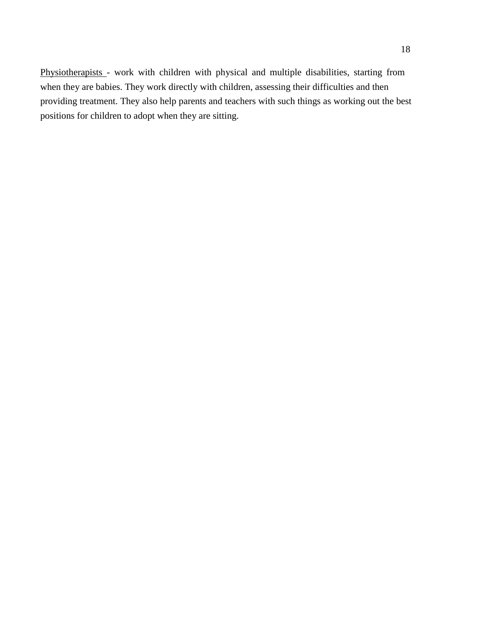Physiotherapists - work with children with physical and multiple disabilities, starting from when they are babies. They work directly with children, assessing their difficulties and then providing treatment. They also help parents and teachers with such things as working out the best positions for children to adopt when they are sitting.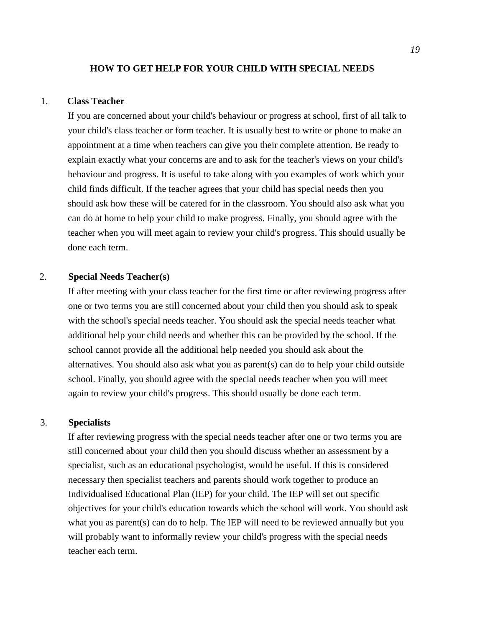#### **HOW TO GET HELP FOR YOUR CHILD WITH SPECIAL NEEDS**

## 1. **Class Teacher**

If you are concerned about your child's behaviour or progress at school, first of all talk to your child's class teacher or form teacher. It is usually best to write or phone to make an appointment at a time when teachers can give you their complete attention. Be ready to explain exactly what your concerns are and to ask for the teacher's views on your child's behaviour and progress. It is useful to take along with you examples of work which your child finds difficult. If the teacher agrees that your child has special needs then you should ask how these will be catered for in the classroom. You should also ask what you can do at home to help your child to make progress. Finally, you should agree with the teacher when you will meet again to review your child's progress. This should usually be done each term.

## 2. **Special Needs Teacher(s)**

If after meeting with your class teacher for the first time or after reviewing progress after one or two terms you are still concerned about your child then you should ask to speak with the school's special needs teacher. You should ask the special needs teacher what additional help your child needs and whether this can be provided by the school. If the school cannot provide all the additional help needed you should ask about the alternatives. You should also ask what you as parent(s) can do to help your child outside school. Finally, you should agree with the special needs teacher when you will meet again to review your child's progress. This should usually be done each term.

#### 3. **Specialists**

If after reviewing progress with the special needs teacher after one or two terms you are still concerned about your child then you should discuss whether an assessment by a specialist, such as an educational psychologist, would be useful. If this is considered necessary then specialist teachers and parents should work together to produce an Individualised Educational Plan (IEP) for your child. The IEP will set out specific objectives for your child's education towards which the school will work. You should ask what you as parent(s) can do to help. The IEP will need to be reviewed annually but you will probably want to informally review your child's progress with the special needs teacher each term.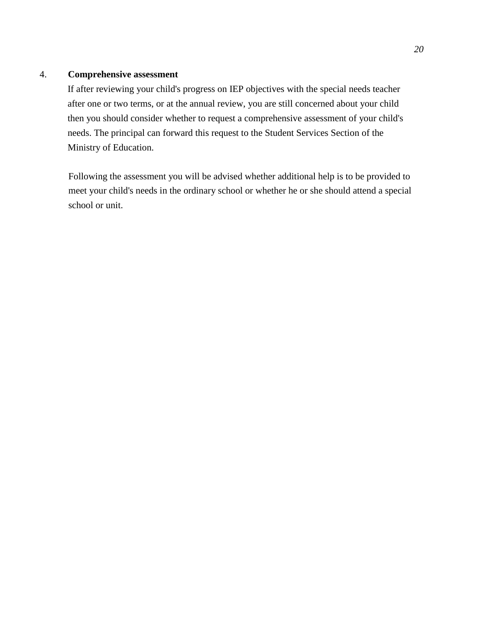## 4. **Comprehensive assessment**

If after reviewing your child's progress on IEP objectives with the special needs teacher after one or two terms, or at the annual review, you are still concerned about your child then you should consider whether to request a comprehensive assessment of your child's needs. The principal can forward this request to the Student Services Section of the Ministry of Education.

Following the assessment you will be advised whether additional help is to be provided to meet your child's needs in the ordinary school or whether he or she should attend a special school or unit.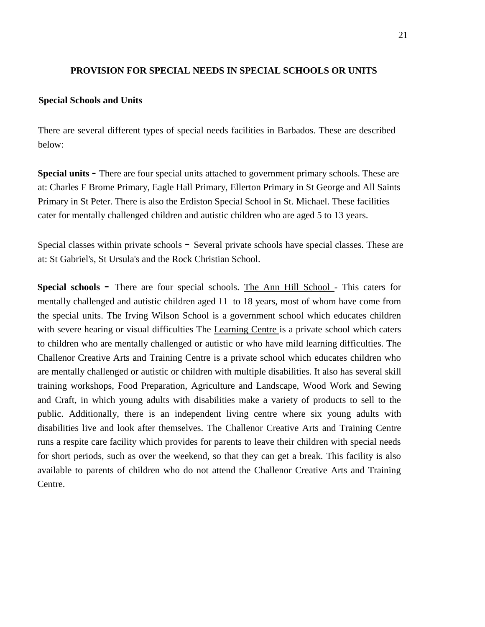## **PROVISION FOR SPECIAL NEEDS IN SPECIAL SCHOOLS OR UNITS**

#### **Special Schools and Units**

There are several different types of special needs facilities in Barbados. These are described below:

**Special units** - There are four special units attached to government primary schools. These are at: Charles F Brome Primary, Eagle Hall Primary, Ellerton Primary in St George and All Saints Primary in St Peter. There is also the Erdiston Special School in St. Michael. These facilities cater for mentally challenged children and autistic children who are aged 5 to 13 years.

Special classes within private schools - Several private schools have special classes. These are at: St Gabriel's, St Ursula's and the Rock Christian School.

**Special schools** - There are four special schools. The Ann Hill School - This caters for mentally challenged and autistic children aged 11 to 18 years, most of whom have come from the special units. The Irving Wilson School is a government school which educates children with severe hearing or visual difficulties The Learning Centre is a private school which caters to children who are mentally challenged or autistic or who have mild learning difficulties. The Challenor Creative Arts and Training Centre is a private school which educates children who are mentally challenged or autistic or children with multiple disabilities. It also has several skill training workshops, Food Preparation, Agriculture and Landscape, Wood Work and Sewing and Craft, in which young adults with disabilities make a variety of products to sell to the public. Additionally, there is an independent living centre where six young adults with disabilities live and look after themselves. The Challenor Creative Arts and Training Centre runs a respite care facility which provides for parents to leave their children with special needs for short periods, such as over the weekend, so that they can get a break. This facility is also available to parents of children who do not attend the Challenor Creative Arts and Training Centre.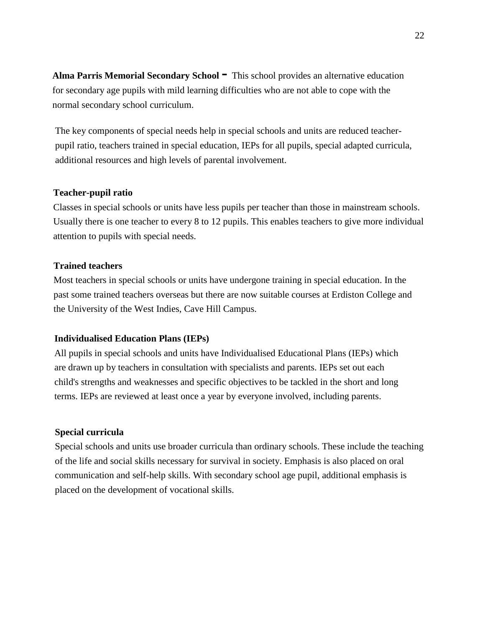**Alma Parris Memorial Secondary School**  $\blacksquare$  This school provides an alternative education for secondary age pupils with mild learning difficulties who are not able to cope with the normal secondary school curriculum.

The key components of special needs help in special schools and units are reduced teacherpupil ratio, teachers trained in special education, IEPs for all pupils, special adapted curricula, additional resources and high levels of parental involvement.

## **Teacher-pupil ratio**

Classes in special schools or units have less pupils per teacher than those in mainstream schools. Usually there is one teacher to every 8 to 12 pupils. This enables teachers to give more individual attention to pupils with special needs.

#### **Trained teachers**

Most teachers in special schools or units have undergone training in special education. In the past some trained teachers overseas but there are now suitable courses at Erdiston College and the University of the West Indies, Cave Hill Campus.

## **Individualised Education Plans (IEPs)**

All pupils in special schools and units have Individualised Educational Plans (IEPs) which are drawn up by teachers in consultation with specialists and parents. IEPs set out each child's strengths and weaknesses and specific objectives to be tackled in the short and long terms. IEPs are reviewed at least once a year by everyone involved, including parents.

#### **Special curricula**

Special schools and units use broader curricula than ordinary schools. These include the teaching of the life and social skills necessary for survival in society. Emphasis is also placed on oral communication and self-help skills. With secondary school age pupil, additional emphasis is placed on the development of vocational skills.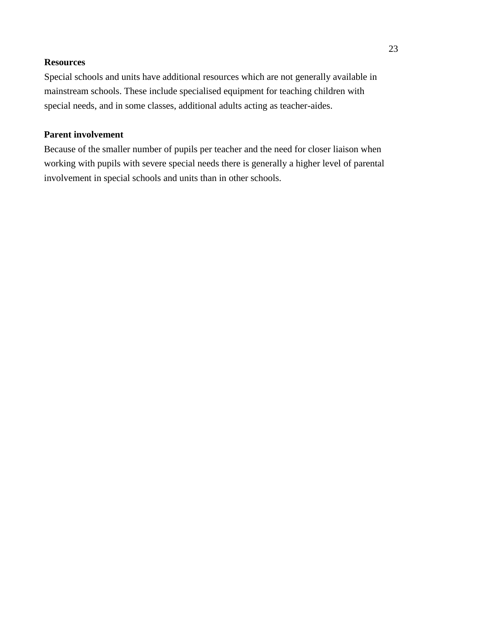## **Resources**

Special schools and units have additional resources which are not generally available in mainstream schools. These include specialised equipment for teaching children with special needs, and in some classes, additional adults acting as teacher-aides.

## **Parent involvement**

Because of the smaller number of pupils per teacher and the need for closer liaison when working with pupils with severe special needs there is generally a higher level of parental involvement in special schools and units than in other schools.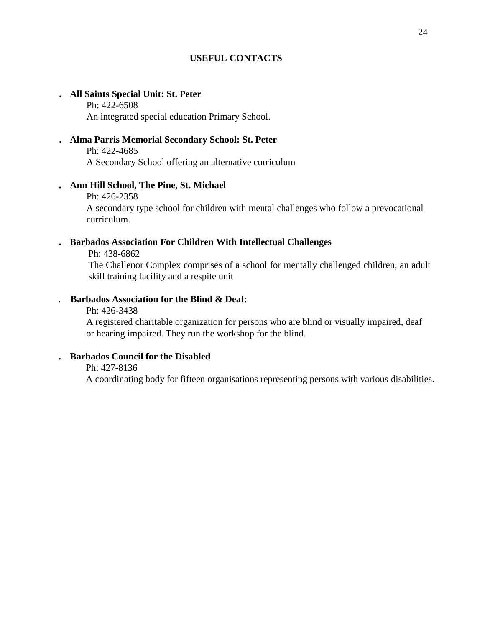## **USEFUL CONTACTS**

## . **All Saints Special Unit: St. Peter**

Ph: 422-6508 An integrated special education Primary School.

## . **Alma Parris Memorial Secondary School: St. Peter**

Ph: 422-4685

A Secondary School offering an alternative curriculum

## . **Ann Hill School, The Pine, St. Michael**

#### Ph: 426-2358

A secondary type school for children with mental challenges who follow a prevocational curriculum.

## . **Barbados Association For Children With Intellectual Challenges**

Ph: 438-6862

The Challenor Complex comprises of a school for mentally challenged children, an adult skill training facility and a respite unit

## . **Barbados Association for the Blind & Deaf**:

Ph: 426-3438

A registered charitable organization for persons who are blind or visually impaired, deaf or hearing impaired. They run the workshop for the blind.

## . **Barbados Council for the Disabled**

Ph: 427-8136

A coordinating body for fifteen organisations representing persons with various disabilities.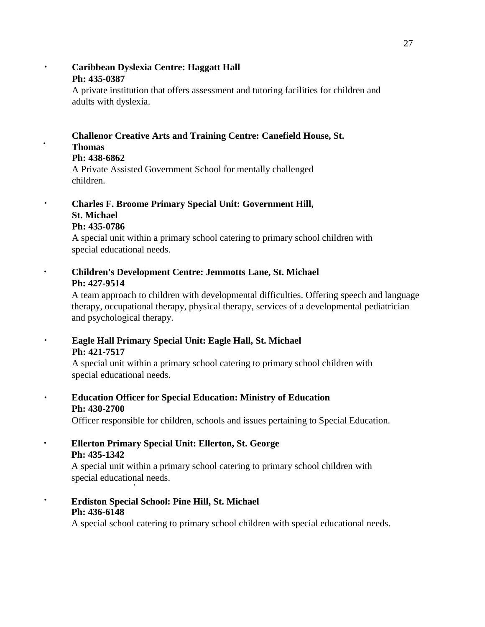## . **Caribbean Dyslexia Centre: Haggatt Hall Ph: 435-0387**

A private institution that offers assessment and tutoring facilities for children and adults with dyslexia.

## **Challenor Creative Arts and Training Centre: Canefield House, St. Thomas**

## **Ph: 438-6862**

·

A Private Assisted Government School for mentally challenged children.

## . **Charles F. Broome Primary Special Unit: Government Hill, St. Michael Ph: 435-0786**

A special unit within a primary school catering to primary school children with special educational needs.

. **Children's Development Centre: Jemmotts Lane, St. Michael Ph: 427-9514**

A team approach to children with developmental difficulties. Offering speech and language therapy, occupational therapy, physical therapy, services of a developmental pediatrician and psychological therapy.

. **Eagle Hall Primary Special Unit: Eagle Hall, St. Michael Ph: 421-7517**

A special unit within a primary school catering to primary school children with special educational needs.

. **Education Officer for Special Education: Ministry of Education Ph: 430-2700**

Officer responsible for children, schools and issues pertaining to Special Education.

. **Ellerton Primary Special Unit: Ellerton, St. George Ph: 435-1342**

A special unit within a primary school catering to primary school children with special educational needs. ,

. **Erdiston Special School: Pine Hill, St. Michael Ph: 436-6148**

A special school catering to primary school children with special educational needs.